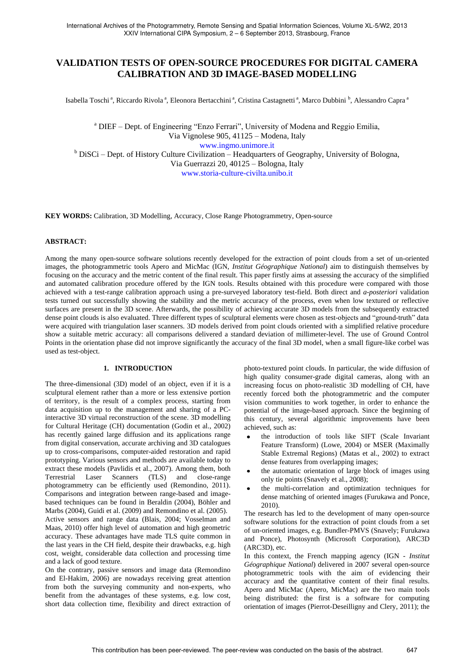# **VALIDATION TESTS OF OPEN-SOURCE PROCEDURES FOR DIGITAL CAMERA CALIBRATION AND 3D IMAGE-BASED MODELLING**

Isabella Toschi<sup>a</sup>, Riccardo Rivola<sup>a</sup>, Eleonora Bertacchini<sup>a</sup>, Cristina Castagnetti<sup>a</sup>, Marco Dubbini<sup>b</sup>, Alessandro Capra<sup>a</sup>

<sup>a</sup> DIEF – Dept. of Engineering "Enzo Ferrari", University of Modena and Reggio Emilia, Via Vignolese 905, 41125 – Modena, Italy www.ingmo.unimore.it <sup>b</sup> DiSCi – Dept. of History Culture Civilization – Headquarters of Geography, University of Bologna, Via Guerrazzi 20, 40125 – Bologna, Italy www.storia-culture-civilta.unibo.it

**KEY WORDS:** Calibration, 3D Modelling, Accuracy, Close Range Photogrammetry, Open-source

### **ABSTRACT:**

Among the many open-source software solutions recently developed for the extraction of point clouds from a set of un-oriented images, the photogrammetric tools Apero and MicMac (IGN, *Institut Géographique National*) aim to distinguish themselves by focusing on the accuracy and the metric content of the final result. This paper firstly aims at assessing the accuracy of the simplified and automated calibration procedure offered by the IGN tools. Results obtained with this procedure were compared with those achieved with a test-range calibration approach using a pre-surveyed laboratory test-field. Both direct and *a-posteriori* validation tests turned out successfully showing the stability and the metric accuracy of the process, even when low textured or reflective surfaces are present in the 3D scene. Afterwards, the possibility of achieving accurate 3D models from the subsequently extracted dense point clouds is also evaluated. Three different types of sculptural elements were chosen as test-objects and "ground-truth" data were acquired with triangulation laser scanners. 3D models derived from point clouds oriented with a simplified relative procedure show a suitable metric accuracy: all comparisons delivered a standard deviation of millimeter-level. The use of Ground Control Points in the orientation phase did not improve significantly the accuracy of the final 3D model, when a small figure-like corbel was used as test-object.

## **1. INTRODUCTION**

The three-dimensional (3D) model of an object, even if it is a sculptural element rather than a more or less extensive portion of territory, is the result of a complex process, starting from data acquisition up to the management and sharing of a PCinteractive 3D virtual reconstruction of the scene. 3D modelling for Cultural Heritage (CH) documentation (Godin et al., 2002) has recently gained large diffusion and its applications range from digital conservation, accurate archiving and 3D catalogues up to cross-comparisons, computer-aided restoration and rapid prototyping. Various sensors and methods are available today to extract these models (Pavlidis et al., 2007). Among them, both Terrestrial Laser Scanners (TLS) and close-range photogrammetry can be efficiently used (Remondino, 2011). Comparisons and integration between range-based and imagebased techniques can be found in Beraldin (2004), Böhler and Marbs (2004), Guidi et al. (2009) and Remondino et al. (2005). Active sensors and range data (Blais, 2004; Vosselman and Maas, 2010) offer high level of automation and high geometric accuracy. These advantages have made TLS quite common in the last years in the CH field, despite their drawbacks, e.g. high cost, weight, considerable data collection and processing time and a lack of good texture.

On the contrary, passive sensors and image data (Remondino and El-Hakim, 2006) are nowadays receiving great attention from both the surveying community and non-experts, who benefit from the advantages of these systems, e.g. low cost, short data collection time, flexibility and direct extraction of photo-textured point clouds. In particular, the wide diffusion of high quality consumer-grade digital cameras, along with an increasing focus on photo-realistic 3D modelling of CH, have recently forced both the photogrammetric and the computer vision communities to work together, in order to enhance the potential of the image-based approach. Since the beginning of this century, several algorithmic improvements have been achieved, such as:

- the introduction of tools like SIFT (Scale Invariant Feature Transform) (Lowe, 2004) or MSER (Maximally Stable Extremal Regions) (Matas et al., 2002) to extract dense features from overlapping images;
- the automatic orientation of large block of images using only tie points (Snavely et al., 2008);
- the multi-correlation and optimization techniques for dense matching of oriented images (Furukawa and Ponce, 2010).

The research has led to the development of many open-source software solutions for the extraction of point clouds from a set of un-oriented images, e.g. Bundler-PMVS (Snavely; Furukawa and Ponce), Photosynth (Microsoft Corporation), ARC3D (ARC3D), etc.

In this context, the French mapping agency (IGN - *Institut Géographique National*) delivered in 2007 several open-source photogrammetric tools with the aim of evidencing their accuracy and the quantitative content of their final results. Apero and MicMac (Apero, MicMac) are the two main tools being distributed: the first is a software for computing orientation of images (Pierrot-Deseilligny and Clery, 2011); the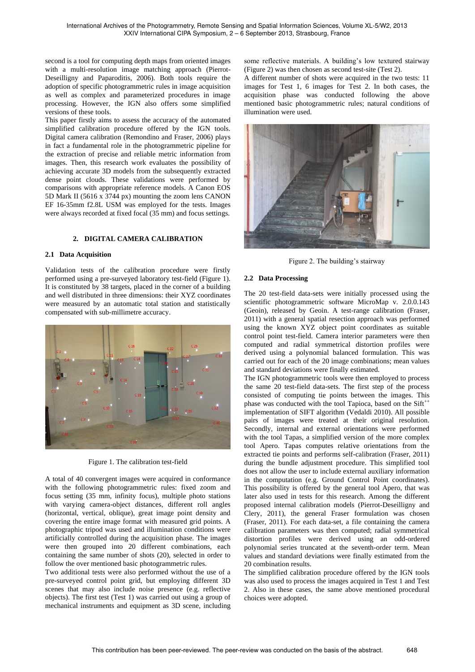second is a tool for computing depth maps from oriented images with a multi-resolution image matching approach (Pierrot-Deseilligny and Paparoditis, 2006). Both tools require the adoption of specific photogrammetric rules in image acquisition as well as complex and parameterized procedures in image processing. However, the IGN also offers some simplified versions of these tools.

This paper firstly aims to assess the accuracy of the automated simplified calibration procedure offered by the IGN tools. Digital camera calibration (Remondino and Fraser, 2006) plays in fact a fundamental role in the photogrammetric pipeline for the extraction of precise and reliable metric information from images. Then, this research work evaluates the possibility of achieving accurate 3D models from the subsequently extracted dense point clouds. These validations were performed by comparisons with appropriate reference models. A Canon EOS 5D Mark II (5616 x 3744 px) mounting the zoom lens CANON EF 16-35mm f2.8L USM was employed for the tests. Images were always recorded at fixed focal (35 mm) and focus settings.

### **2. DIGITAL CAMERA CALIBRATION**

### **2.1 Data Acquisition**

Validation tests of the calibration procedure were firstly performed using a pre-surveyed laboratory test-field (Figure 1). It is constituted by 38 targets, placed in the corner of a building and well distributed in three dimensions: their XYZ coordinates were measured by an automatic total station and statistically compensated with sub-millimetre accuracy.



Figure 1. The calibration test-field

A total of 40 convergent images were acquired in conformance with the following photogrammetric rules: fixed zoom and focus setting (35 mm, infinity focus), multiple photo stations with varying camera-object distances, different roll angles (horizontal, vertical, oblique), great image point density and covering the entire image format with measured grid points. A photographic tripod was used and illumination conditions were artificially controlled during the acquisition phase. The images were then grouped into 20 different combinations, each containing the same number of shots (20), selected in order to follow the over mentioned basic photogrammetric rules.

Two additional tests were also performed without the use of a pre-surveyed control point grid, but employing different 3D scenes that may also include noise presence (e.g. reflective objects). The first test (Test 1) was carried out using a group of mechanical instruments and equipment as 3D scene, including some reflective materials. A building's low textured stairway (Figure 2) was then chosen as second test-site (Test 2).

A different number of shots were acquired in the two tests: 11 images for Test 1, 6 images for Test 2. In both cases, the acquisition phase was conducted following the above mentioned basic photogrammetric rules; natural conditions of illumination were used.



Figure 2. The building's stairway

### **2.2 Data Processing**

The 20 test-field data-sets were initially processed using the scientific photogrammetric software MicroMap v. 2.0.0.143 (Geoin), released by Geoin. A test-range calibration (Fraser, 2011) with a general spatial resection approach was performed using the known XYZ object point coordinates as suitable control point test-field. Camera interior parameters were then computed and radial symmetrical distortion profiles were derived using a polynomial balanced formulation. This was carried out for each of the 20 image combinations; mean values and standard deviations were finally estimated.

The IGN photogrammetric tools were then employed to process the same 20 test-field data-sets. The first step of the process consisted of computing tie points between the images. This phase was conducted with the tool Tapioca, based on the  $Sift<sup>++</sup>$ implementation of SIFT algorithm (Vedaldi 2010). All possible pairs of images were treated at their original resolution. Secondly, internal and external orientations were performed with the tool Tapas, a simplified version of the more complex tool Apero. Tapas computes relative orientations from the extracted tie points and performs self-calibration (Fraser, 2011) during the bundle adjustment procedure. This simplified tool does not allow the user to include external auxiliary information in the computation (e.g. Ground Control Point coordinates). This possibility is offered by the general tool Apero, that was later also used in tests for this research. Among the different proposed internal calibration models (Pierrot-Deseilligny and Clery, 2011), the general Fraser formulation was chosen (Fraser, 2011). For each data-set, a file containing the camera calibration parameters was then computed; radial symmetrical distortion profiles were derived using an odd-ordered polynomial series truncated at the seventh-order term. Mean values and standard deviations were finally estimated from the 20 combination results.

The simplified calibration procedure offered by the IGN tools was also used to process the images acquired in Test 1 and Test 2. Also in these cases, the same above mentioned procedural choices were adopted.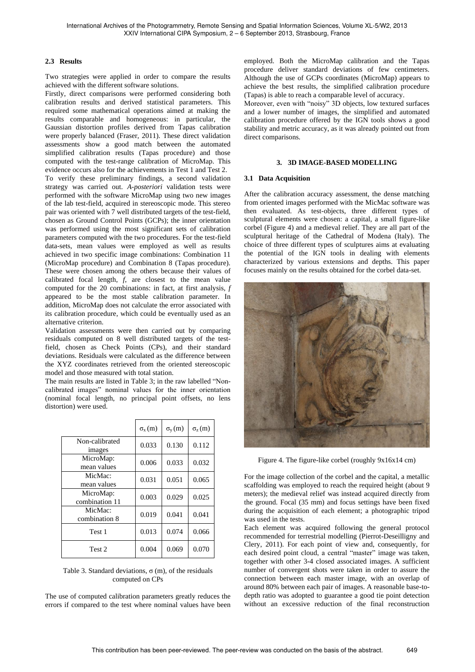### **2.3 Results**

Two strategies were applied in order to compare the results achieved with the different software solutions.

Firstly, direct comparisons were performed considering both calibration results and derived statistical parameters. This required some mathematical operations aimed at making the results comparable and homogeneous: in particular, the Gaussian distortion profiles derived from Tapas calibration were properly balanced (Fraser, 2011). These direct validation assessments show a good match between the automated simplified calibration results (Tapas procedure) and those computed with the test-range calibration of MicroMap. This evidence occurs also for the achievements in Test 1 and Test 2.

To verify these preliminary findings, a second validation strategy was carried out. *A-posteriori* validation tests were performed with the software MicroMap using two new images of the lab test-field, acquired in stereoscopic mode. This stereo pair was oriented with 7 well distributed targets of the test-field, chosen as Ground Control Points (GCPs); the inner orientation was performed using the most significant sets of calibration parameters computed with the two procedures. For the test-field data-sets, mean values were employed as well as results achieved in two specific image combinations: Combination 11 (MicroMap procedure) and Combination 8 (Tapas procedure). These were chosen among the others because their values of calibrated focal length, *f*, are closest to the mean value computed for the 20 combinations: in fact, at first analysis, *f* appeared to be the most stable calibration parameter. In addition, MicroMap does not calculate the error associated with its calibration procedure, which could be eventually used as an alternative criterion.

Validation assessments were then carried out by comparing residuals computed on 8 well distributed targets of the testfield, chosen as Check Points (CPs), and their standard deviations. Residuals were calculated as the difference between the XYZ coordinates retrieved from the oriented stereoscopic model and those measured with total station.

The main results are listed in Table 3; in the raw labelled "Noncalibrated images" nominal values for the inner orientation (nominal focal length, no principal point offsets, no lens distortion) were used.

|                                 | $\sigma_{\rm x}$ (m) | $\sigma_{\rm v}(\text{m})$ | $\sigma_{\rm z}$ (m) |
|---------------------------------|----------------------|----------------------------|----------------------|
| Non-calibrated<br><i>images</i> | 0.033                | 0.130                      | 0.112                |
| MicroMap:<br>mean values        | 0.006                | 0.033                      | 0.032                |
| MicMac:<br>mean values          | 0.031                | 0.051                      | 0.065                |
| MicroMap:<br>combination 11     | 0.003                | 0.029                      | 0.025                |
| MicMac:<br>combination 8        | 0.019                | 0.041                      | 0.041                |
| Test 1                          | 0.013                | 0.074                      | 0.066                |
| Test 2                          | 0.004                | 0.069                      | 0.070                |

Table 3. Standard deviations,  $\sigma$  (m), of the residuals computed on CPs

The use of computed calibration parameters greatly reduces the errors if compared to the test where nominal values have been employed. Both the MicroMap calibration and the Tapas procedure deliver standard deviations of few centimeters. Although the use of GCPs coordinates (MicroMap) appears to achieve the best results, the simplified calibration procedure (Tapas) is able to reach a comparable level of accuracy.

Moreover, even with "noisy" 3D objects, low textured surfaces and a lower number of images, the simplified and automated calibration procedure offered by the IGN tools shows a good stability and metric accuracy, as it was already pointed out from direct comparisons.

#### **3. 3D IMAGE-BASED MODELLING**

#### **3.1 Data Acquisition**

After the calibration accuracy assessment, the dense matching from oriented images performed with the MicMac software was then evaluated. As test-objects, three different types of sculptural elements were chosen: a capital, a small figure-like corbel (Figure 4) and a medieval relief. They are all part of the sculptural heritage of the Cathedral of Modena (Italy). The choice of three different types of sculptures aims at evaluating the potential of the IGN tools in dealing with elements characterized by various extensions and depths. This paper focuses mainly on the results obtained for the corbel data-set.



Figure 4. The figure-like corbel (roughly 9x16x14 cm)

For the image collection of the corbel and the capital, a metallic scaffolding was employed to reach the required height (about 9 meters); the medieval relief was instead acquired directly from the ground. Focal (35 mm) and focus settings have been fixed during the acquisition of each element; a photographic tripod was used in the tests.

Each element was acquired following the general protocol recommended for terrestrial modelling (Pierrot-Deseilligny and Clery, 2011). For each point of view and, consequently, for each desired point cloud, a central "master" image was taken, together with other 3-4 closed associated images. A sufficient number of convergent shots were taken in order to assure the connection between each master image, with an overlap of around 80% between each pair of images. A reasonable base-todepth ratio was adopted to guarantee a good tie point detection without an excessive reduction of the final reconstruction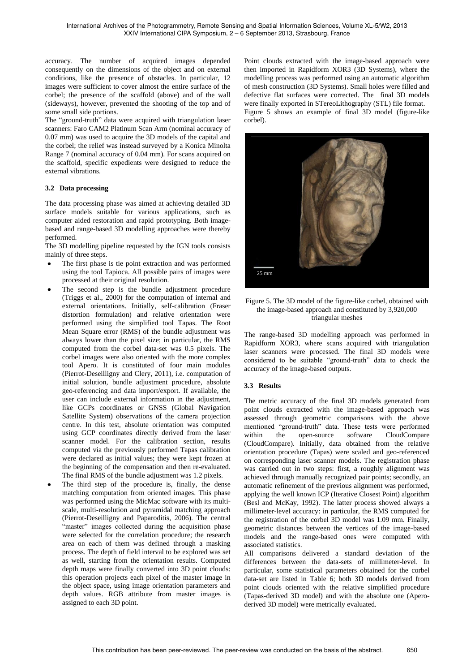accuracy. The number of acquired images depended consequently on the dimensions of the object and on external conditions, like the presence of obstacles. In particular, 12 images were sufficient to cover almost the entire surface of the corbel; the presence of the scaffold (above) and of the wall (sideways), however, prevented the shooting of the top and of some small side portions.

The "ground-truth" data were acquired with triangulation laser scanners: Faro CAM2 Platinum Scan Arm (nominal accuracy of 0.07 mm) was used to acquire the 3D models of the capital and the corbel; the relief was instead surveyed by a Konica Minolta Range 7 (nominal accuracy of 0.04 mm). For scans acquired on the scaffold, specific expedients were designed to reduce the external vibrations.

### **3.2 Data processing**

The data processing phase was aimed at achieving detailed 3D surface models suitable for various applications, such as computer aided restoration and rapid prototyping. Both imagebased and range-based 3D modelling approaches were thereby performed.

The 3D modelling pipeline requested by the IGN tools consists mainly of three steps.

- The first phase is tie point extraction and was performed using the tool Tapioca. All possible pairs of images were processed at their original resolution.
- The second step is the bundle adjustment procedure (Triggs et al., 2000) for the computation of internal and external orientations. Initially, self-calibration (Fraser distortion formulation) and relative orientation were performed using the simplified tool Tapas. The Root Mean Square error (RMS) of the bundle adjustment was always lower than the pixel size; in particular, the RMS computed from the corbel data-set was 0.5 pixels. The corbel images were also oriented with the more complex tool Apero. It is constituted of four main modules (Pierrot-Deseilligny and Clery, 2011), i.e. computation of initial solution, bundle adjustment procedure, absolute geo-referencing and data import/export. If available, the user can include external information in the adjustment, like GCPs coordinates or GNSS (Global Navigation Satellite System) observations of the camera projection centre. In this test, absolute orientation was computed using GCP coordinates directly derived from the laser scanner model. For the calibration section, results computed via the previously performed Tapas calibration were declared as initial values; they were kept frozen at the beginning of the compensation and then re-evaluated. The final RMS of the bundle adjustment was 1.2 pixels.
- The third step of the procedure is, finally, the dense matching computation from oriented images. This phase was performed using the MicMac software with its multiscale, multi-resolution and pyramidal matching approach (Pierrot-Deseilligny and Paparoditis, 2006). The central "master" images collected during the acquisition phase were selected for the correlation procedure; the research area on each of them was defined through a masking process. The depth of field interval to be explored was set as well, starting from the orientation results. Computed depth maps were finally converted into 3D point clouds: this operation projects each pixel of the master image in the object space, using image orientation parameters and depth values. RGB attribute from master images is assigned to each 3D point.

Point clouds extracted with the image-based approach were then imported in Rapidform XOR3 (3D Systems), where the modelling process was performed using an automatic algorithm of mesh construction (3D Systems). Small holes were filled and defective flat surfaces were corrected. The final 3D models were finally exported in STereoLithography (STL) file format. Figure 5 shows an example of final 3D model (figure-like corbel).



### Figure 5. The 3D model of the figure-like corbel, obtained with the image-based approach and constituted by 3,920,000 triangular meshes

The range-based 3D modelling approach was performed in Rapidform XOR3, where scans acquired with triangulation laser scanners were processed. The final 3D models were considered to be suitable "ground-truth" data to check the accuracy of the image-based outputs.

### **3.3 Results**

The metric accuracy of the final 3D models generated from point clouds extracted with the image-based approach was assessed through geometric comparisons with the above mentioned "ground-truth" data. These tests were performed within the open-source software CloudCompare (CloudCompare). Initially, data obtained from the relative orientation procedure (Tapas) were scaled and geo-referenced on corresponding laser scanner models. The registration phase was carried out in two steps: first, a roughly alignment was achieved through manually recognized pair points; secondly, an automatic refinement of the previous alignment was performed, applying the well known ICP (Iterative Closest Point) algorithm (Besl and McKay, 1992). The latter process showed always a millimeter-level accuracy: in particular, the RMS computed for the registration of the corbel 3D model was 1.09 mm. Finally, geometric distances between the vertices of the image-based models and the range-based ones were computed with associated statistics.

All comparisons delivered a standard deviation of the differences between the data-sets of millimeter-level. In particular, some statistical parameters obtained for the corbel data-set are listed in Table 6; both 3D models derived from point clouds oriented with the relative simplified procedure (Tapas-derived 3D model) and with the absolute one (Aperoderived 3D model) were metrically evaluated.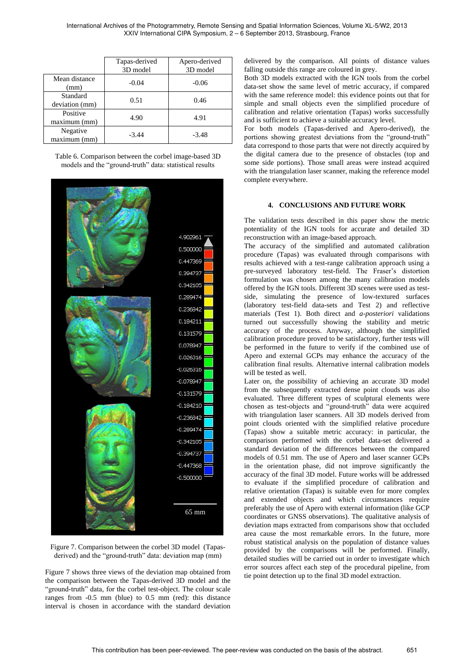|                            | Tapas-derived<br>3D model | Apero-derived<br>3D model |
|----------------------------|---------------------------|---------------------------|
| Mean distance<br>(mm)      | $-0.04$                   | $-0.06$                   |
| Standard<br>deviation (mm) | 0.51                      | 0.46                      |
| Positive<br>maximum (mm)   | 4.90                      | 4.91                      |
| Negative<br>maximum (mm)   | $-3.44$                   | $-3.48$                   |

Table 6. Comparison between the corbel image-based 3D models and the "ground-truth" data: statistical results



Figure 7. Comparison between the corbel 3D model (Tapasderived) and the "ground-truth" data: deviation map (mm)

Figure 7 shows three views of the deviation map obtained from the comparison between the Tapas-derived 3D model and the "ground-truth" data, for the corbel test-object. The colour scale ranges from -0.5 mm (blue) to 0.5 mm (red): this distance interval is chosen in accordance with the standard deviation delivered by the comparison. All points of distance values falling outside this range are coloured in grey.

Both 3D models extracted with the IGN tools from the corbel data-set show the same level of metric accuracy, if compared with the same reference model: this evidence points out that for simple and small objects even the simplified procedure of calibration and relative orientation (Tapas) works successfully and is sufficient to achieve a suitable accuracy level.

For both models (Tapas-derived and Apero-derived), the portions showing greatest deviations from the "ground-truth" data correspond to those parts that were not directly acquired by the digital camera due to the presence of obstacles (top and some side portions). Those small areas were instead acquired with the triangulation laser scanner, making the reference model complete everywhere.

### **4. CONCLUSIONS AND FUTURE WORK**

The validation tests described in this paper show the metric potentiality of the IGN tools for accurate and detailed 3D reconstruction with an image-based approach.

The accuracy of the simplified and automated calibration procedure (Tapas) was evaluated through comparisons with results achieved with a test-range calibration approach using a pre-surveyed laboratory test-field. The Fraser's distortion formulation was chosen among the many calibration models offered by the IGN tools. Different 3D scenes were used as testside, simulating the presence of low-textured surfaces (laboratory test-field data-sets and Test 2) and reflective materials (Test 1). Both direct and *a-posteriori* validations turned out successfully showing the stability and metric accuracy of the process. Anyway, although the simplified calibration procedure proved to be satisfactory, further tests will be performed in the future to verify if the combined use of Apero and external GCPs may enhance the accuracy of the calibration final results. Alternative internal calibration models will be tested as well.

Later on, the possibility of achieving an accurate 3D model from the subsequently extracted dense point clouds was also evaluated. Three different types of sculptural elements were chosen as test-objects and "ground-truth" data were acquired with triangulation laser scanners. All 3D models derived from point clouds oriented with the simplified relative procedure (Tapas) show a suitable metric accuracy: in particular, the comparison performed with the corbel data-set delivered a standard deviation of the differences between the compared models of 0.51 mm. The use of Apero and laser scanner GCPs in the orientation phase, did not improve significantly the accuracy of the final 3D model. Future works will be addressed to evaluate if the simplified procedure of calibration and relative orientation (Tapas) is suitable even for more complex and extended objects and which circumstances require preferably the use of Apero with external information (like GCP coordinates or GNSS observations). The qualitative analysis of deviation maps extracted from comparisons show that occluded area cause the most remarkable errors. In the future, more robust statistical analysis on the population of distance values provided by the comparisons will be performed. Finally, detailed studies will be carried out in order to investigate which error sources affect each step of the procedural pipeline, from tie point detection up to the final 3D model extraction.